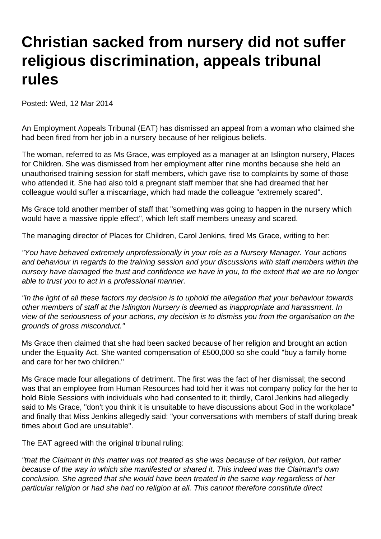## **Christian sacked from nursery did not suffer religious discrimination, appeals tribunal rules**

Posted: Wed, 12 Mar 2014

An Employment Appeals Tribunal (EAT) has dismissed an appeal from a woman who claimed she had been fired from her job in a nursery because of her religious beliefs.

The woman, referred to as Ms Grace, was employed as a manager at an Islington nursery, Places for Children. She was dismissed from her employment after nine months because she held an unauthorised training session for staff members, which gave rise to complaints by some of those who attended it. She had also told a pregnant staff member that she had dreamed that her colleague would suffer a miscarriage, which had made the colleague "extremely scared".

Ms Grace told another member of staff that "something was going to happen in the nursery which would have a massive ripple effect", which left staff members uneasy and scared.

The managing director of Places for Children, Carol Jenkins, fired Ms Grace, writing to her:

"You have behaved extremely unprofessionally in your role as a Nursery Manager. Your actions and behaviour in regards to the training session and your discussions with staff members within the nursery have damaged the trust and confidence we have in you, to the extent that we are no longer able to trust you to act in a professional manner.

"In the light of all these factors my decision is to uphold the allegation that your behaviour towards other members of staff at the Islington Nursery is deemed as inappropriate and harassment. In view of the seriousness of your actions, my decision is to dismiss you from the organisation on the grounds of gross misconduct."

Ms Grace then claimed that she had been sacked because of her religion and brought an action under the Equality Act. She wanted compensation of £500,000 so she could "buy a family home and care for her two children."

Ms Grace made four allegations of detriment. The first was the fact of her dismissal; the second was that an employee from Human Resources had told her it was not company policy for the her to hold Bible Sessions with individuals who had consented to it; thirdly, Carol Jenkins had allegedly said to Ms Grace, "don't you think it is unsuitable to have discussions about God in the workplace" and finally that Miss Jenkins allegedly said: "your conversations with members of staff during break times about God are unsuitable".

The EAT agreed with the original tribunal ruling:

"that the Claimant in this matter was not treated as she was because of her religion, but rather because of the way in which she manifested or shared it. This indeed was the Claimant's own conclusion. She agreed that she would have been treated in the same way regardless of her particular religion or had she had no religion at all. This cannot therefore constitute direct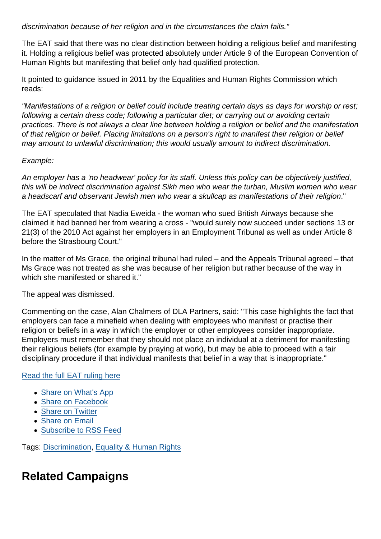discrimination because of her religion and in the circumstances the claim fails."

The EAT said that there was no clear distinction between holding a religious belief and manifesting it. Holding a religious belief was protected absolutely under Article 9 of the European Convention of Human Rights but manifesting that belief only had qualified protection.

It pointed to guidance issued in 2011 by the Equalities and Human Rights Commission which reads:

"Manifestations of a religion or belief could include treating certain days as days for worship or rest; following a certain dress code; following a particular diet; or carrying out or avoiding certain practices. There is not always a clear line between holding a religion or belief and the manifestation of that religion or belief. Placing limitations on a person's right to manifest their religion or belief may amount to unlawful discrimination; this would usually amount to indirect discrimination.

## Example:

An employer has a 'no headwear' policy for its staff. Unless this policy can be objectively justified, this will be indirect discrimination against Sikh men who wear the turban, Muslim women who wear a headscarf and observant Jewish men who wear a skullcap as manifestations of their religion."

The EAT speculated that Nadia Eweida - the woman who sued British Airways because she claimed it had banned her from wearing a cross - "would surely now succeed under sections 13 or 21(3) of the 2010 Act against her employers in an Employment Tribunal as well as under Article 8 before the Strasbourg Court."

In the matter of Ms Grace, the original tribunal had ruled – and the Appeals Tribunal agreed – that Ms Grace was not treated as she was because of her religion but rather because of the way in which she manifested or shared it."

The appeal was dismissed.

Commenting on the case, Alan Chalmers of DLA Partners, said: "This case highlights the fact that employers can face a minefield when dealing with employees who manifest or practise their religion or beliefs in a way in which the employer or other employees consider inappropriate. Employers must remember that they should not place an individual at a detriment for manifesting their religious beliefs (for example by praying at work), but may be able to proceed with a fair disciplinary procedure if that individual manifests that belief in a way that is inappropriate."

## [Read the full EAT ruling here](http://www.bailii.org/uk/cases/UKEAT/2013/0217_13_0511.html)

- [Share on What's App](whatsapp://send?text=http://www.secularism.org.uk/news/2014/03/christian-sacked-from-nursery-did-not-suffer-religious-discrimination-appeals-tribunal-rules?format=pdf)
- [Share on Facebook](https://www.facebook.com/sharer/sharer.php?u=http://www.secularism.org.uk/news/2014/03/christian-sacked-from-nursery-did-not-suffer-religious-discrimination-appeals-tribunal-rules?format=pdf&t=Christian+sacked+from+nursery+did+not+suffer+religious+discrimination,+appeals+tribunal+rules)
- [Share on Twitter](https://twitter.com/intent/tweet?url=http://www.secularism.org.uk/news/2014/03/christian-sacked-from-nursery-did-not-suffer-religious-discrimination-appeals-tribunal-rules?format=pdf&text=Christian+sacked+from+nursery+did+not+suffer+religious+discrimination,+appeals+tribunal+rules&via=NatSecSoc)
- [Share on Email](https://www.secularism.org.uk/share.html?url=http://www.secularism.org.uk/news/2014/03/christian-sacked-from-nursery-did-not-suffer-religious-discrimination-appeals-tribunal-rules?format=pdf&title=Christian+sacked+from+nursery+did+not+suffer+religious+discrimination,+appeals+tribunal+rules)
- [Subscribe to RSS Feed](/mnt/web-data/www/cp-nss/feeds/rss/news)

Tags: [Discrimination,](https://www.secularism.org.uk/news/tags/Discrimination) [Equality & Human Rights](https://www.secularism.org.uk/news/tags/Equality+&+Human+Rights)

## Related Campaigns